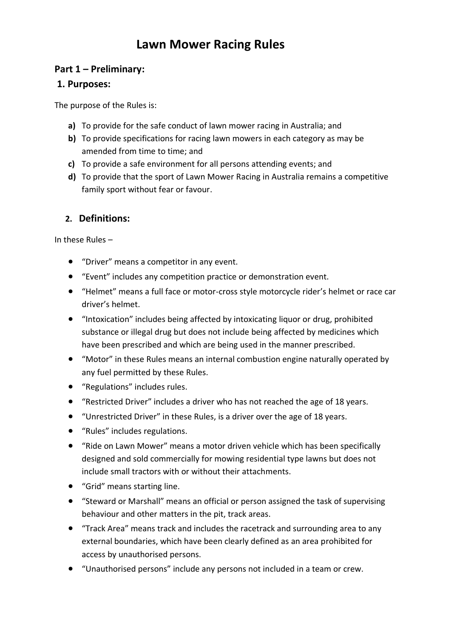# **Lawn Mower Racing Rules**

# **Part 1 – Preliminary:**

# **1. Purposes:**

The purpose of the Rules is:

- **a)** To provide for the safe conduct of lawn mower racing in Australia; and
- **b)** To provide specifications for racing lawn mowers in each category as may be amended from time to time; and
- **c)** To provide a safe environment for all persons attending events; and
- **d)** To provide that the sport of Lawn Mower Racing in Australia remains a competitive family sport without fear or favour.

# **2. Definitions:**

In these Rules –

- "Driver" means a competitor in any event.
- "Event" includes any competition practice or demonstration event.
- "Helmet" means a full face or motor-cross style motorcycle rider's helmet or race car driver's helmet.
- "Intoxication" includes being affected by intoxicating liquor or drug, prohibited substance or illegal drug but does not include being affected by medicines which have been prescribed and which are being used in the manner prescribed.
- "Motor" in these Rules means an internal combustion engine naturally operated by any fuel permitted by these Rules.
- "Regulations" includes rules.
- "Restricted Driver" includes a driver who has not reached the age of 18 years.
- "Unrestricted Driver" in these Rules, is a driver over the age of 18 years.
- "Rules" includes regulations.
- "Ride on Lawn Mower" means a motor driven vehicle which has been specifically designed and sold commercially for mowing residential type lawns but does not include small tractors with or without their attachments.
- "Grid" means starting line.
- "Steward or Marshall" means an official or person assigned the task of supervising behaviour and other matters in the pit, track areas.
- "Track Area" means track and includes the racetrack and surrounding area to any external boundaries, which have been clearly defined as an area prohibited for access by unauthorised persons.
- "Unauthorised persons" include any persons not included in a team or crew.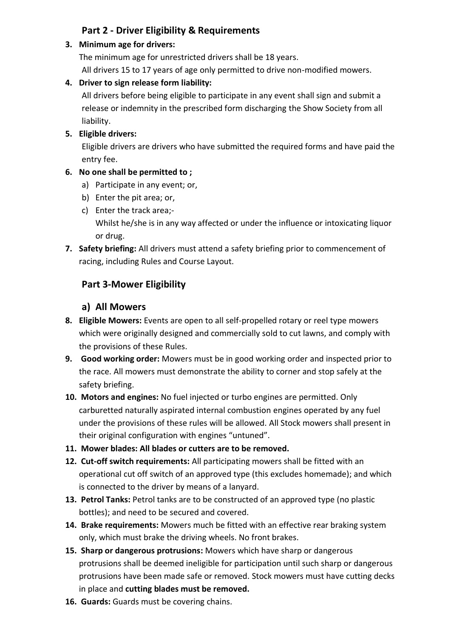# **Part 2 - Driver Eligibility & Requirements**

#### **3. Minimum age for drivers:**

The minimum age for unrestricted drivers shall be 18 years. All drivers 15 to 17 years of age only permitted to drive non-modified mowers.

### **4. Driver to sign release form liability:**

All drivers before being eligible to participate in any event shall sign and submit a release or indemnity in the prescribed form discharging the Show Society from all liability.

### **5. Eligible drivers:**

Eligible drivers are drivers who have submitted the required forms and have paid the entry fee.

### **6. No one shall be permitted to ;**

- a) Participate in any event; or,
- b) Enter the pit area; or,
- c) Enter the track area;- Whilst he/she is in any way affected or under the influence or intoxicating liquor or drug.
- **7. Safety briefing:** All drivers must attend a safety briefing prior to commencement of racing, including Rules and Course Layout.

# **Part 3-Mower Eligibility**

### **a) All Mowers**

- **8. Eligible Mowers:** Events are open to all self-propelled rotary or reel type mowers which were originally designed and commercially sold to cut lawns, and comply with the provisions of these Rules.
- **9. Good working order:** Mowers must be in good working order and inspected prior to the race. All mowers must demonstrate the ability to corner and stop safely at the safety briefing.
- **10. Motors and engines:** No fuel injected or turbo engines are permitted. Only carburetted naturally aspirated internal combustion engines operated by any fuel under the provisions of these rules will be allowed. All Stock mowers shall present in their original configuration with engines "untuned".
- **11. Mower blades: All blades or cutters are to be removed.**
- **12. Cut-off switch requirements:** All participating mowers shall be fitted with an operational cut off switch of an approved type (this excludes homemade); and which is connected to the driver by means of a lanyard.
- **13. Petrol Tanks:** Petrol tanks are to be constructed of an approved type (no plastic bottles); and need to be secured and covered.
- **14. Brake requirements:** Mowers much be fitted with an effective rear braking system only, which must brake the driving wheels. No front brakes.
- **15. Sharp or dangerous protrusions:** Mowers which have sharp or dangerous protrusions shall be deemed ineligible for participation until such sharp or dangerous protrusions have been made safe or removed. Stock mowers must have cutting decks in place and **cutting blades must be removed.**
- **16. Guards:** Guards must be covering chains.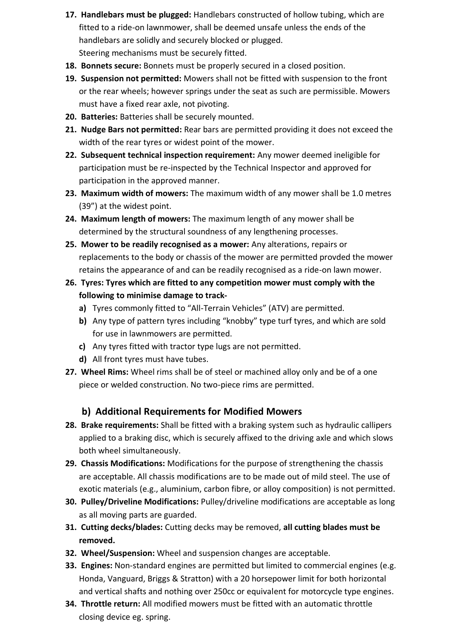- **17. Handlebars must be plugged:** Handlebars constructed of hollow tubing, which are fitted to a ride-on lawnmower, shall be deemed unsafe unless the ends of the handlebars are solidly and securely blocked or plugged. Steering mechanisms must be securely fitted.
- **18. Bonnets secure:** Bonnets must be properly secured in a closed position.
- **19. Suspension not permitted:** Mowers shall not be fitted with suspension to the front or the rear wheels; however springs under the seat as such are permissible. Mowers must have a fixed rear axle, not pivoting.
- **20. Batteries:** Batteries shall be securely mounted.
- **21. Nudge Bars not permitted:** Rear bars are permitted providing it does not exceed the width of the rear tyres or widest point of the mower.
- **22. Subsequent technical inspection requirement:** Any mower deemed ineligible for participation must be re-inspected by the Technical Inspector and approved for participation in the approved manner.
- **23. Maximum width of mowers:** The maximum width of any mower shall be 1.0 metres (39") at the widest point.
- **24. Maximum length of mowers:** The maximum length of any mower shall be determined by the structural soundness of any lengthening processes.
- **25. Mower to be readily recognised as a mower:** Any alterations, repairs or replacements to the body or chassis of the mower are permitted provded the mower retains the appearance of and can be readily recognised as a ride-on lawn mower.
- **26. Tyres: Tyres which are fitted to any competition mower must comply with the following to minimise damage to track**
	- **a)** Tyres commonly fitted to "All-Terrain Vehicles" (ATV) are permitted.
	- **b)** Any type of pattern tyres including "knobby" type turf tyres, and which are sold for use in lawnmowers are permitted.
	- **c)** Any tyres fitted with tractor type lugs are not permitted.
	- **d)** All front tyres must have tubes.
- **27. Wheel Rims:** Wheel rims shall be of steel or machined alloy only and be of a one piece or welded construction. No two-piece rims are permitted.

### **b) Additional Requirements for Modified Mowers**

- **28. Brake requirements:** Shall be fitted with a braking system such as hydraulic callipers applied to a braking disc, which is securely affixed to the driving axle and which slows both wheel simultaneously.
- **29. Chassis Modifications:** Modifications for the purpose of strengthening the chassis are acceptable. All chassis modifications are to be made out of mild steel. The use of exotic materials (e.g., aluminium, carbon fibre, or alloy composition) is not permitted.
- **30. Pulley/Driveline Modifications:** Pulley/driveline modifications are acceptable as long as all moving parts are guarded.
- **31. Cutting decks/blades:** Cutting decks may be removed, **all cutting blades must be removed.**
- **32. Wheel/Suspension:** Wheel and suspension changes are acceptable.
- **33. Engines:** Non-standard engines are permitted but limited to commercial engines (e.g. Honda, Vanguard, Briggs & Stratton) with a 20 horsepower limit for both horizontal and vertical shafts and nothing over 250cc or equivalent for motorcycle type engines.
- **34. Throttle return:** All modified mowers must be fitted with an automatic throttle closing device eg. spring.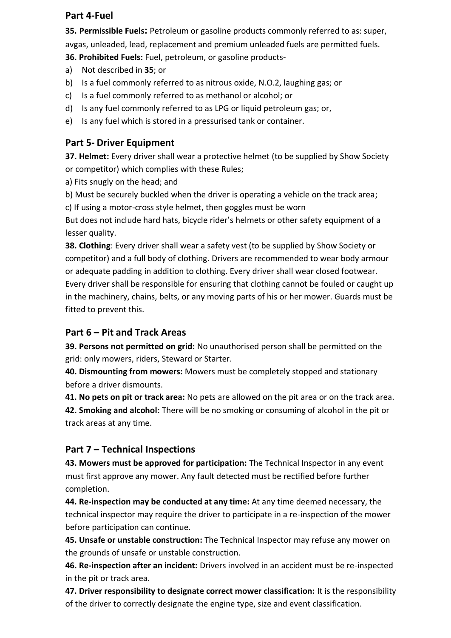### **Part 4-Fuel**

**35. Permissible Fuels:** Petroleum or gasoline products commonly referred to as: super, avgas, unleaded, lead, replacement and premium unleaded fuels are permitted fuels.

**36. Prohibited Fuels:** Fuel, petroleum, or gasoline products-

- a) Not described in **35**; or
- b) Is a fuel commonly referred to as nitrous oxide, N.O.2, laughing gas; or
- c) Is a fuel commonly referred to as methanol or alcohol; or
- d) Is any fuel commonly referred to as LPG or liquid petroleum gas; or,
- e) Is any fuel which is stored in a pressurised tank or container.

## **Part 5- Driver Equipment**

**37. Helmet:** Every driver shall wear a protective helmet (to be supplied by Show Society or competitor) which complies with these Rules;

- a) Fits snugly on the head; and
- b) Must be securely buckled when the driver is operating a vehicle on the track area;
- c) If using a motor-cross style helmet, then goggles must be worn

But does not include hard hats, bicycle rider's helmets or other safety equipment of a lesser quality.

**38. Clothing**: Every driver shall wear a safety vest (to be supplied by Show Society or competitor) and a full body of clothing. Drivers are recommended to wear body armour or adequate padding in addition to clothing. Every driver shall wear closed footwear. Every driver shall be responsible for ensuring that clothing cannot be fouled or caught up in the machinery, chains, belts, or any moving parts of his or her mower. Guards must be fitted to prevent this.

### **Part 6 – Pit and Track Areas**

**39. Persons not permitted on grid:** No unauthorised person shall be permitted on the grid: only mowers, riders, Steward or Starter.

**40. Dismounting from mowers:** Mowers must be completely stopped and stationary before a driver dismounts.

**41. No pets on pit or track area:** No pets are allowed on the pit area or on the track area.

**42. Smoking and alcohol:** There will be no smoking or consuming of alcohol in the pit or track areas at any time.

# **Part 7 – Technical Inspections**

**43. Mowers must be approved for participation:** The Technical Inspector in any event must first approve any mower. Any fault detected must be rectified before further completion.

**44. Re-inspection may be conducted at any time:** At any time deemed necessary, the technical inspector may require the driver to participate in a re-inspection of the mower before participation can continue.

**45. Unsafe or unstable construction:** The Technical Inspector may refuse any mower on the grounds of unsafe or unstable construction.

**46. Re-inspection after an incident:** Drivers involved in an accident must be re-inspected in the pit or track area.

**47. Driver responsibility to designate correct mower classification:** It is the responsibility of the driver to correctly designate the engine type, size and event classification.